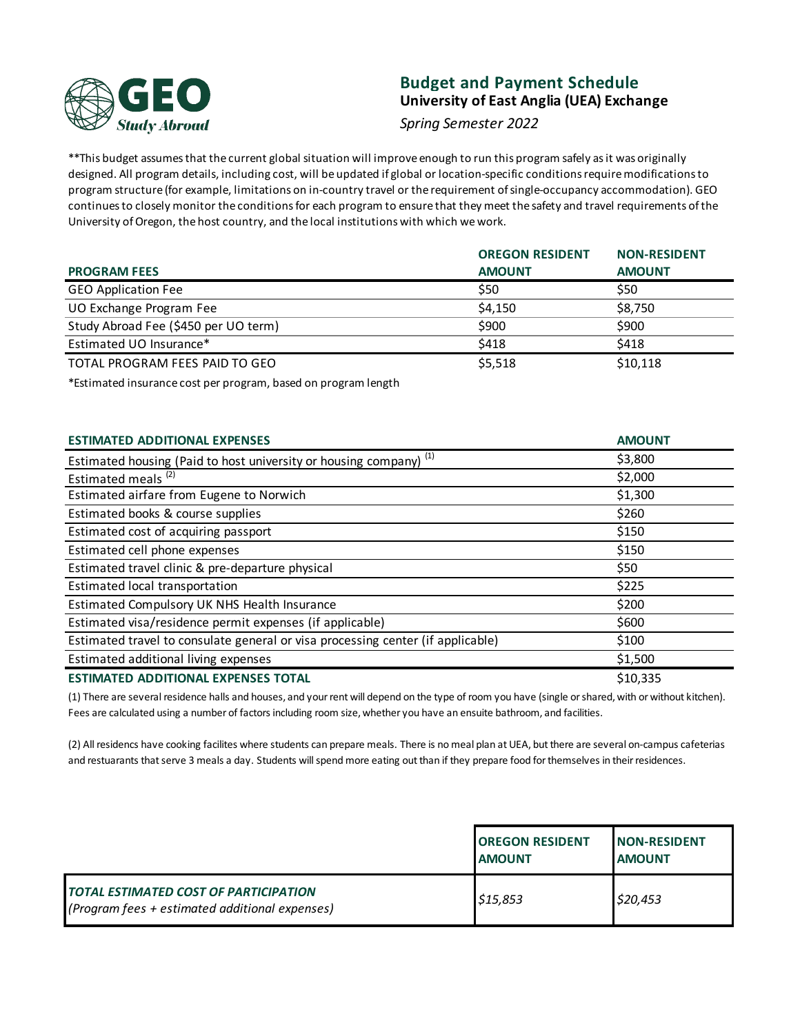

# **Budget and Payment Schedule University of East Anglia (UEA) Exchange**

*Spring Semester 2022*

\*\*This budget assumes that the current global situation will improve enough to run this program safely as it was originally designed. All program details, including cost, will be updated if global or location-specific conditions require modifications to program structure (for example, limitations on in-country travel or the requirement of single-occupancy accommodation). GEO continues to closely monitor the conditions for each program to ensure that they meet the safety and travel requirements of the University of Oregon, the host country, and the local institutions with which we work.

|                                      | <b>OREGON RESIDENT</b> | <b>NON-RESIDENT</b> |
|--------------------------------------|------------------------|---------------------|
| <b>PROGRAM FEES</b>                  | <b>AMOUNT</b>          | <b>AMOUNT</b>       |
| <b>GEO Application Fee</b>           | \$50                   | \$50                |
| UO Exchange Program Fee              | \$4,150                | \$8,750             |
| Study Abroad Fee (\$450 per UO term) | \$900                  | \$900               |
| Estimated UO Insurance*              | \$418                  | \$418               |
| TOTAL PROGRAM FEES PAID TO GEO       | \$5,518                | \$10,118            |

\*Estimated insurance cost per program, based on program length

| <b>ESTIMATED ADDITIONAL EXPENSES</b>                                            | <b>AMOUNT</b> |
|---------------------------------------------------------------------------------|---------------|
| <b>Estimated housing (Paid to host university or housing company)</b> (1)       | \$3,800       |
| Estimated meals <sup>(2)</sup>                                                  | \$2,000       |
| Estimated airfare from Eugene to Norwich                                        | \$1,300       |
| Estimated books & course supplies                                               | \$260         |
| Estimated cost of acquiring passport                                            | \$150         |
| Estimated cell phone expenses                                                   | \$150         |
| Estimated travel clinic & pre-departure physical                                | \$50          |
| Estimated local transportation                                                  | \$225         |
| Estimated Compulsory UK NHS Health Insurance                                    | \$200         |
| Estimated visa/residence permit expenses (if applicable)                        | \$600         |
| Estimated travel to consulate general or visa processing center (if applicable) | \$100         |
| Estimated additional living expenses                                            | \$1,500       |
| <b>ESTIMATED ADDITIONAL EXPENSES TOTAL</b>                                      | \$10,335      |

(1) There are several residence halls and houses, and your rent will depend on the type of room you have (single or shared, with or without kitchen). Fees are calculated using a number of factors including room size, whether you have an ensuite bathroom, and facilities.

(2) All residencs have cooking facilites where students can prepare meals. There is no meal plan at UEA, but there are several on-campus cafeterias and restuarants that serve 3 meals a day. Students will spend more eating out than if they prepare food for themselves in their residences.

|                                                                                                  | <b>OREGON RESIDENT</b><br><b>AMOUNT</b> | <b>INON-RESIDENT</b><br><b>AMOUNT</b> |
|--------------------------------------------------------------------------------------------------|-----------------------------------------|---------------------------------------|
| <b>TOTAL ESTIMATED COST OF PARTICIPATION</b><br>$(Program fees + estimated additional expenses)$ | \$15,853                                | \$20,453                              |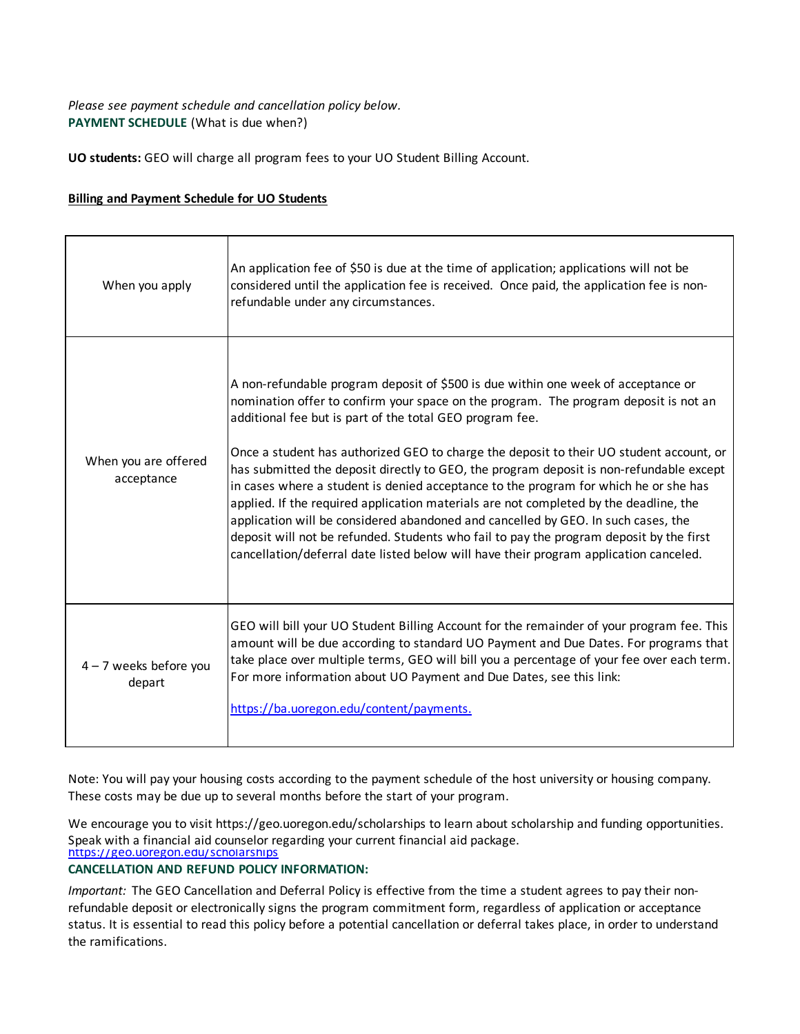## **PAYMENT SCHEDULE** (What is due when?) *Please see payment schedule and cancellation policy below.*

**UO students:** GEO will charge all program fees to your UO Student Billing Account.

#### **Billing and Payment Schedule for UO Students**

| When you apply                     | An application fee of \$50 is due at the time of application; applications will not be<br>considered until the application fee is received. Once paid, the application fee is non-<br>refundable under any circumstances.                                                                                                                                                                                                                                                                                                                                                                                                                                                                                                                                                                                                                                                             |
|------------------------------------|---------------------------------------------------------------------------------------------------------------------------------------------------------------------------------------------------------------------------------------------------------------------------------------------------------------------------------------------------------------------------------------------------------------------------------------------------------------------------------------------------------------------------------------------------------------------------------------------------------------------------------------------------------------------------------------------------------------------------------------------------------------------------------------------------------------------------------------------------------------------------------------|
| When you are offered<br>acceptance | A non-refundable program deposit of \$500 is due within one week of acceptance or<br>nomination offer to confirm your space on the program. The program deposit is not an<br>additional fee but is part of the total GEO program fee.<br>Once a student has authorized GEO to charge the deposit to their UO student account, or<br>has submitted the deposit directly to GEO, the program deposit is non-refundable except<br>in cases where a student is denied acceptance to the program for which he or she has<br>applied. If the required application materials are not completed by the deadline, the<br>application will be considered abandoned and cancelled by GEO. In such cases, the<br>deposit will not be refunded. Students who fail to pay the program deposit by the first<br>cancellation/deferral date listed below will have their program application canceled. |
| $4 - 7$ weeks before you<br>depart | GEO will bill your UO Student Billing Account for the remainder of your program fee. This<br>amount will be due according to standard UO Payment and Due Dates. For programs that<br>take place over multiple terms, GEO will bill you a percentage of your fee over each term.<br>For more information about UO Payment and Due Dates, see this link:<br>https://ba.uoregon.edu/content/payments.                                                                                                                                                                                                                                                                                                                                                                                                                                                                                    |

Note: You will pay your housing costs according to the payment schedule of the host university or housing company. These costs may be due up to several months before the start of your program.

https://geo.uoregon.edu/scholarships We encourage you to visit https://geo.uoregon.edu/scholarships to learn about scholarship and funding opportunities. Speak with a financial aid counselor regarding your current financial aid package.

### **CANCELLATION AND REFUND POLICY INFORMATION:**

*Important:* The GEO Cancellation and Deferral Policy is effective from the time a student agrees to pay their nonrefundable deposit or electronically signs the program commitment form, regardless of application or acceptance status. It is essential to read this policy before a potential cancellation or deferral takes place, in order to understand the ramifications.